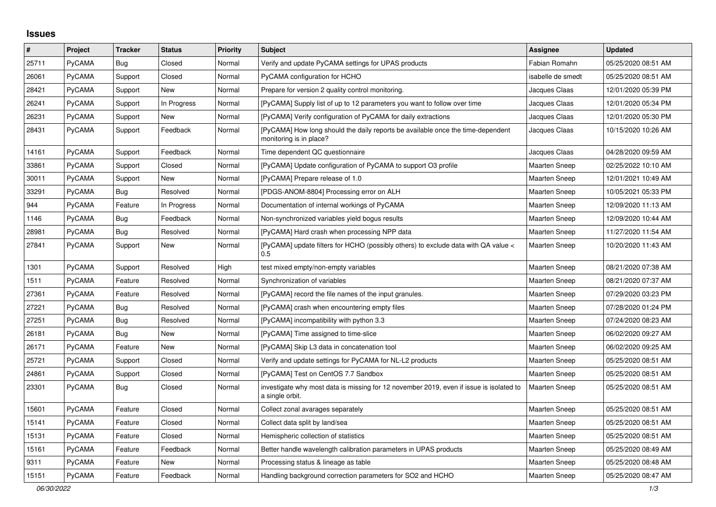## **Issues**

| $\sharp$ | Project       | <b>Tracker</b> | <b>Status</b> | <b>Priority</b> | <b>Subject</b>                                                                                             | Assignee             | <b>Updated</b>      |
|----------|---------------|----------------|---------------|-----------------|------------------------------------------------------------------------------------------------------------|----------------------|---------------------|
| 25711    | PyCAMA        | <b>Bug</b>     | Closed        | Normal          | Verify and update PyCAMA settings for UPAS products                                                        | Fabian Romahn        | 05/25/2020 08:51 AM |
| 26061    | PyCAMA        | Support        | Closed        | Normal          | PyCAMA configuration for HCHO                                                                              | isabelle de smedt    | 05/25/2020 08:51 AM |
| 28421    | PyCAMA        | Support        | New           | Normal          | Prepare for version 2 quality control monitoring.                                                          | Jacques Claas        | 12/01/2020 05:39 PM |
| 26241    | PyCAMA        | Support        | In Progress   | Normal          | [PyCAMA] Supply list of up to 12 parameters you want to follow over time                                   | Jacques Claas        | 12/01/2020 05:34 PM |
| 26231    | <b>PyCAMA</b> | Support        | <b>New</b>    | Normal          | [PyCAMA] Verify configuration of PyCAMA for daily extractions                                              | Jacques Claas        | 12/01/2020 05:30 PM |
| 28431    | PyCAMA        | Support        | Feedback      | Normal          | [PyCAMA] How long should the daily reports be available once the time-dependent<br>monitoring is in place? | Jacques Claas        | 10/15/2020 10:26 AM |
| 14161    | PyCAMA        | Support        | Feedback      | Normal          | Time dependent QC questionnaire                                                                            | Jacques Claas        | 04/28/2020 09:59 AM |
| 33861    | <b>PyCAMA</b> | Support        | Closed        | Normal          | [PyCAMA] Update configuration of PyCAMA to support O3 profile                                              | <b>Maarten Sneep</b> | 02/25/2022 10:10 AM |
| 30011    | PyCAMA        | Support        | New           | Normal          | [PyCAMA] Prepare release of 1.0                                                                            | <b>Maarten Sneep</b> | 12/01/2021 10:49 AM |
| 33291    | PyCAMA        | Bug            | Resolved      | Normal          | [PDGS-ANOM-8804] Processing error on ALH                                                                   | Maarten Sneep        | 10/05/2021 05:33 PM |
| 944      | PyCAMA        | Feature        | In Progress   | Normal          | Documentation of internal workings of PyCAMA                                                               | <b>Maarten Sneep</b> | 12/09/2020 11:13 AM |
| 1146     | PyCAMA        | Bug            | Feedback      | Normal          | Non-synchronized variables yield bogus results                                                             | <b>Maarten Sneep</b> | 12/09/2020 10:44 AM |
| 28981    | PyCAMA        | Bug            | Resolved      | Normal          | [PyCAMA] Hard crash when processing NPP data                                                               | <b>Maarten Sneep</b> | 11/27/2020 11:54 AM |
| 27841    | <b>PyCAMA</b> | Support        | New           | Normal          | [PyCAMA] update filters for HCHO (possibly others) to exclude data with QA value <<br>0.5                  | <b>Maarten Sneep</b> | 10/20/2020 11:43 AM |
| 1301     | PyCAMA        | Support        | Resolved      | High            | test mixed empty/non-empty variables                                                                       | <b>Maarten Sneep</b> | 08/21/2020 07:38 AM |
| 1511     | <b>PyCAMA</b> | Feature        | Resolved      | Normal          | Synchronization of variables                                                                               | <b>Maarten Sneep</b> | 08/21/2020 07:37 AM |
| 27361    | PyCAMA        | Feature        | Resolved      | Normal          | [PyCAMA] record the file names of the input granules.                                                      | <b>Maarten Sneep</b> | 07/29/2020 03:23 PM |
| 27221    | <b>PyCAMA</b> | Bug            | Resolved      | Normal          | [PyCAMA] crash when encountering empty files                                                               | <b>Maarten Sneep</b> | 07/28/2020 01:24 PM |
| 27251    | PyCAMA        | Bug            | Resolved      | Normal          | [PyCAMA] incompatibility with python 3.3                                                                   | <b>Maarten Sneep</b> | 07/24/2020 08:23 AM |
| 26181    | PyCAMA        | Bug            | New           | Normal          | [PyCAMA] Time assigned to time-slice                                                                       | <b>Maarten Sneep</b> | 06/02/2020 09:27 AM |
| 26171    | PyCAMA        | Feature        | New           | Normal          | [PyCAMA] Skip L3 data in concatenation tool                                                                | <b>Maarten Sneep</b> | 06/02/2020 09:25 AM |
| 25721    | PyCAMA        | Support        | Closed        | Normal          | Verify and update settings for PyCAMA for NL-L2 products                                                   | <b>Maarten Sneep</b> | 05/25/2020 08:51 AM |
| 24861    | PyCAMA        | Support        | Closed        | Normal          | [PyCAMA] Test on CentOS 7.7 Sandbox                                                                        | <b>Maarten Sneep</b> | 05/25/2020 08:51 AM |
| 23301    | <b>PyCAMA</b> | <b>Bug</b>     | Closed        | Normal          | investigate why most data is missing for 12 november 2019, even if issue is isolated to<br>a single orbit. | <b>Maarten Sneep</b> | 05/25/2020 08:51 AM |
| 15601    | PyCAMA        | Feature        | Closed        | Normal          | Collect zonal avarages separately                                                                          | <b>Maarten Sneep</b> | 05/25/2020 08:51 AM |
| 15141    | <b>PyCAMA</b> | Feature        | Closed        | Normal          | Collect data split by land/sea                                                                             | <b>Maarten Sneep</b> | 05/25/2020 08:51 AM |
| 15131    | PyCAMA        | Feature        | Closed        | Normal          | Hemispheric collection of statistics                                                                       | Maarten Sneep        | 05/25/2020 08:51 AM |
| 15161    | <b>PyCAMA</b> | Feature        | Feedback      | Normal          | Better handle wavelength calibration parameters in UPAS products                                           | <b>Maarten Sneep</b> | 05/25/2020 08:49 AM |
| 9311     | PyCAMA        | Feature        | New           | Normal          | Processing status & lineage as table                                                                       | <b>Maarten Sneep</b> | 05/25/2020 08:48 AM |
| 15151    | PyCAMA        | Feature        | Feedback      | Normal          | Handling background correction parameters for SO2 and HCHO                                                 | <b>Maarten Sneep</b> | 05/25/2020 08:47 AM |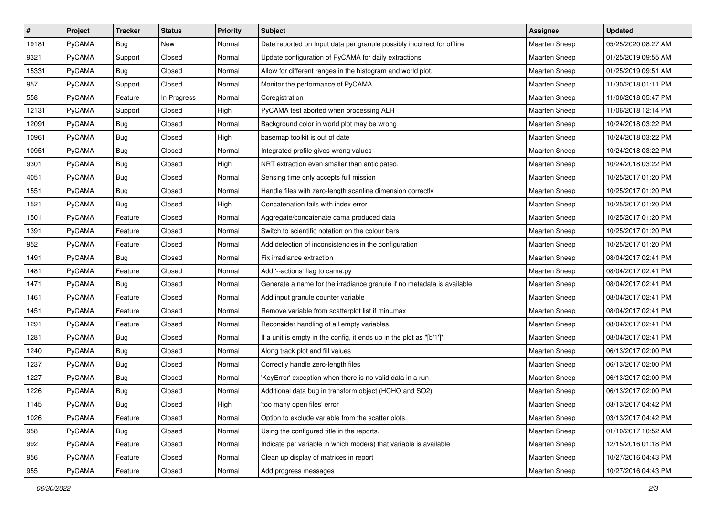| $\sharp$ | Project       | <b>Tracker</b> | <b>Status</b> | <b>Priority</b> | Subject                                                                | <b>Assignee</b>      | <b>Updated</b>      |
|----------|---------------|----------------|---------------|-----------------|------------------------------------------------------------------------|----------------------|---------------------|
| 19181    | <b>PyCAMA</b> | <b>Bug</b>     | New           | Normal          | Date reported on Input data per granule possibly incorrect for offline | <b>Maarten Sneep</b> | 05/25/2020 08:27 AM |
| 9321     | PyCAMA        | Support        | Closed        | Normal          | Update configuration of PyCAMA for daily extractions                   | <b>Maarten Sneep</b> | 01/25/2019 09:55 AM |
| 15331    | PyCAMA        | Bug            | Closed        | Normal          | Allow for different ranges in the histogram and world plot.            | Maarten Sneep        | 01/25/2019 09:51 AM |
| 957      | PyCAMA        | Support        | Closed        | Normal          | Monitor the performance of PyCAMA                                      | <b>Maarten Sneep</b> | 11/30/2018 01:11 PM |
| 558      | PyCAMA        | Feature        | In Progress   | Normal          | Coregistration                                                         | Maarten Sneep        | 11/06/2018 05:47 PM |
| 12131    | PyCAMA        | Support        | Closed        | High            | PyCAMA test aborted when processing ALH                                | <b>Maarten Sneep</b> | 11/06/2018 12:14 PM |
| 12091    | PyCAMA        | Bug            | Closed        | Normal          | Background color in world plot may be wrong                            | Maarten Sneep        | 10/24/2018 03:22 PM |
| 10961    | PyCAMA        | <b>Bug</b>     | Closed        | High            | basemap toolkit is out of date                                         | Maarten Sneep        | 10/24/2018 03:22 PM |
| 10951    | PyCAMA        | <b>Bug</b>     | Closed        | Normal          | Integrated profile gives wrong values                                  | Maarten Sneep        | 10/24/2018 03:22 PM |
| 9301     | PyCAMA        | <b>Bug</b>     | Closed        | High            | NRT extraction even smaller than anticipated.                          | Maarten Sneep        | 10/24/2018 03:22 PM |
| 4051     | PyCAMA        | Bug            | Closed        | Normal          | Sensing time only accepts full mission                                 | Maarten Sneep        | 10/25/2017 01:20 PM |
| 1551     | PyCAMA        | Bug            | Closed        | Normal          | Handle files with zero-length scanline dimension correctly             | <b>Maarten Sneep</b> | 10/25/2017 01:20 PM |
| 1521     | PyCAMA        | <b>Bug</b>     | Closed        | High            | Concatenation fails with index error                                   | <b>Maarten Sneep</b> | 10/25/2017 01:20 PM |
| 1501     | PyCAMA        | Feature        | Closed        | Normal          | Aggregate/concatenate cama produced data                               | <b>Maarten Sneep</b> | 10/25/2017 01:20 PM |
| 1391     | PyCAMA        | Feature        | Closed        | Normal          | Switch to scientific notation on the colour bars.                      | <b>Maarten Sneep</b> | 10/25/2017 01:20 PM |
| 952      | PyCAMA        | Feature        | Closed        | Normal          | Add detection of inconsistencies in the configuration                  | Maarten Sneep        | 10/25/2017 01:20 PM |
| 1491     | PyCAMA        | Bug            | Closed        | Normal          | Fix irradiance extraction                                              | <b>Maarten Sneep</b> | 08/04/2017 02:41 PM |
| 1481     | PyCAMA        | Feature        | Closed        | Normal          | Add '--actions' flag to cama.py                                        | <b>Maarten Sneep</b> | 08/04/2017 02:41 PM |
| 1471     | <b>PyCAMA</b> | <b>Bug</b>     | Closed        | Normal          | Generate a name for the irradiance granule if no metadata is available | <b>Maarten Sneep</b> | 08/04/2017 02:41 PM |
| 1461     | PyCAMA        | Feature        | Closed        | Normal          | Add input granule counter variable                                     | <b>Maarten Sneep</b> | 08/04/2017 02:41 PM |
| 1451     | PyCAMA        | Feature        | Closed        | Normal          | Remove variable from scatterplot list if min=max                       | <b>Maarten Sneep</b> | 08/04/2017 02:41 PM |
| 1291     | PyCAMA        | Feature        | Closed        | Normal          | Reconsider handling of all empty variables.                            | Maarten Sneep        | 08/04/2017 02:41 PM |
| 1281     | PyCAMA        | Bug            | Closed        | Normal          | If a unit is empty in the config, it ends up in the plot as "[b'1']"   | <b>Maarten Sneep</b> | 08/04/2017 02:41 PM |
| 1240     | PyCAMA        | <b>Bug</b>     | Closed        | Normal          | Along track plot and fill values                                       | <b>Maarten Sneep</b> | 06/13/2017 02:00 PM |
| 1237     | PyCAMA        | <b>Bug</b>     | Closed        | Normal          | Correctly handle zero-length files                                     | <b>Maarten Sneep</b> | 06/13/2017 02:00 PM |
| 1227     | PyCAMA        | Bug            | Closed        | Normal          | 'KeyError' exception when there is no valid data in a run              | <b>Maarten Sneep</b> | 06/13/2017 02:00 PM |
| 1226     | <b>PyCAMA</b> | <b>Bug</b>     | Closed        | Normal          | Additional data bug in transform object (HCHO and SO2)                 | <b>Maarten Sneep</b> | 06/13/2017 02:00 PM |
| 1145     | PyCAMA        | Bug            | Closed        | High            | 'too many open files' error                                            | Maarten Sneep        | 03/13/2017 04:42 PM |
| 1026     | PyCAMA        | Feature        | Closed        | Normal          | Option to exclude variable from the scatter plots.                     | <b>Maarten Sneep</b> | 03/13/2017 04:42 PM |
| 958      | PyCAMA        | <b>Bug</b>     | Closed        | Normal          | Using the configured title in the reports.                             | Maarten Sneep        | 01/10/2017 10:52 AM |
| 992      | PyCAMA        | Feature        | Closed        | Normal          | Indicate per variable in which mode(s) that variable is available      | Maarten Sneep        | 12/15/2016 01:18 PM |
| 956      | PyCAMA        | Feature        | Closed        | Normal          | Clean up display of matrices in report                                 | <b>Maarten Sneep</b> | 10/27/2016 04:43 PM |
| 955      | PyCAMA        | Feature        | Closed        | Normal          | Add progress messages                                                  | Maarten Sneep        | 10/27/2016 04:43 PM |